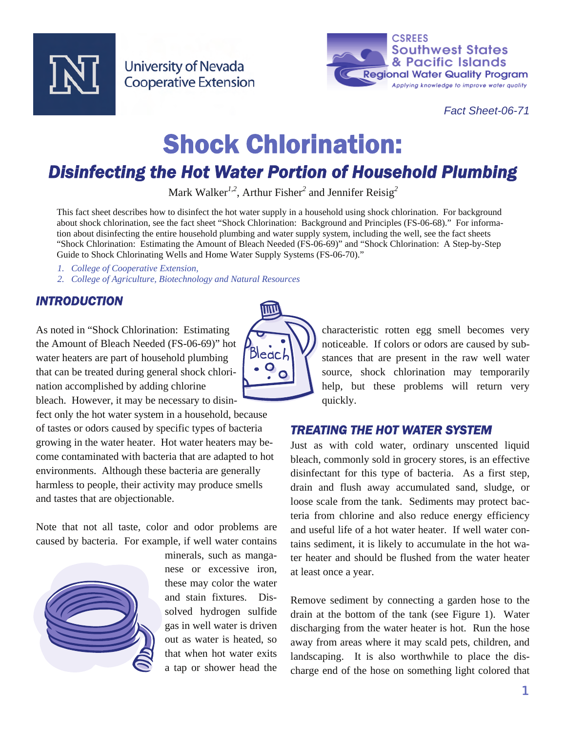

**University of Nevada Cooperative Extension** 



*Fact Sheet-06-71* 

# Shock Chlorination:

## *Disinfecting the Hot Water Portion of Household Plumbing*

Mark Walker*1,2*, Arthur Fisher*<sup>2</sup>* and Jennifer Reisig*<sup>2</sup>*

This fact sheet describes how to disinfect the hot water supply in a household using shock chlorination. For background about shock chlorination, see the fact sheet "Shock Chlorination: Background and Principles (FS-06-68)." For information about disinfecting the entire household plumbing and water supply system, including the well, see the fact sheets "Shock Chlorination: Estimating the Amount of Bleach Needed (FS-06-69)" and "Shock Chlorination: A Step-by-Step Guide to Shock Chlorinating Wells and Home Water Supply Systems (FS-06-70)."

- *1. College of Cooperative Extension,*
- *2. College of Agriculture, Biotechnology and Natural Resources*

#### *INTRODUCTION*

As noted in "Shock Chlorination: Estimating the Amount of Bleach Needed (FS-06-69)" hot water heaters are part of household plumbing that can be treated during general shock chlorination accomplished by adding chlorine bleach. However, it may be necessary to disin-

fect only the hot water system in a household, because of tastes or odors caused by specific types of bacteria growing in the water heater. Hot water heaters may become contaminated with bacteria that are adapted to hot environments. Although these bacteria are generally harmless to people, their activity may produce smells and tastes that are objectionable.

Note that not all taste, color and odor problems are caused by bacteria. For example, if well water contains



minerals, such as manganese or excessive iron, these may color the water and stain fixtures. Dissolved hydrogen sulfide gas in well water is driven out as water is heated, so that when hot water exits a tap or shower head the



characteristic rotten egg smell becomes very noticeable. If colors or odors are caused by substances that are present in the raw well water source, shock chlorination may temporarily help, but these problems will return very quickly.

#### *TREATING THE HOT WATER SYSTEM*

Just as with cold water, ordinary unscented liquid bleach, commonly sold in grocery stores, is an effective disinfectant for this type of bacteria. As a first step, drain and flush away accumulated sand, sludge, or loose scale from the tank. Sediments may protect bacteria from chlorine and also reduce energy efficiency and useful life of a hot water heater. If well water contains sediment, it is likely to accumulate in the hot water heater and should be flushed from the water heater at least once a year.

Remove sediment by connecting a garden hose to the drain at the bottom of the tank (see Figure 1). Water discharging from the water heater is hot. Run the hose away from areas where it may scald pets, children, and landscaping. It is also worthwhile to place the discharge end of the hose on something light colored that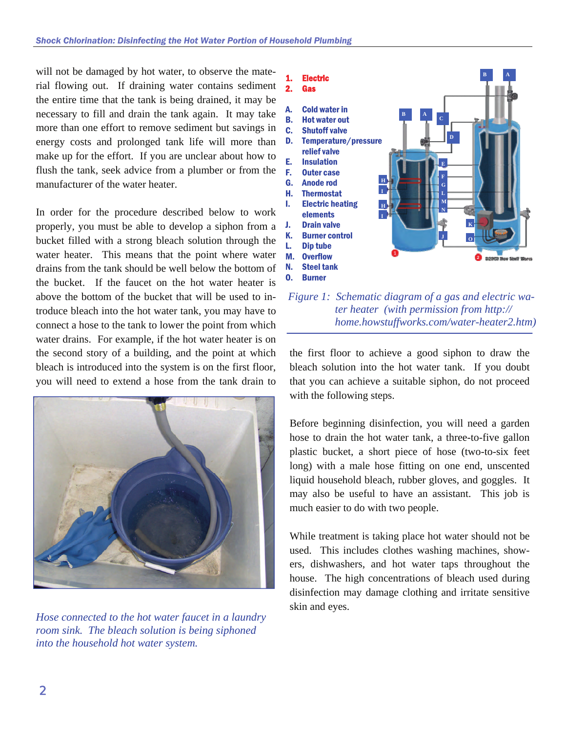will not be damaged by hot water, to observe the material flowing out. If draining water contains sediment the entire time that the tank is being drained, it may be necessary to fill and drain the tank again. It may take more than one effort to remove sediment but savings in energy costs and prolonged tank life will more than make up for the effort. If you are unclear about how to flush the tank, seek advice from a plumber or from the manufacturer of the water heater.

In order for the procedure described below to work properly, you must be able to develop a siphon from a bucket filled with a strong bleach solution through the water heater. This means that the point where water drains from the tank should be well below the bottom of the bucket. If the faucet on the hot water heater is above the bottom of the bucket that will be used to introduce bleach into the hot water tank, you may have to connect a hose to the tank to lower the point from which water drains. For example, if the hot water heater is on the second story of a building, and the point at which bleach is introduced into the system is on the first floor, you will need to extend a hose from the tank drain to



*Hose connected to the hot water faucet in a laundry room sink. The bleach solution is being siphoned into the household hot water system.* 



 *Figure 1: Schematic diagram of a gas and electric water heater (with permission from http:// home.howstuffworks.com/water-heater2.htm)* 

the first floor to achieve a good siphon to draw the bleach solution into the hot water tank. If you doubt that you can achieve a suitable siphon, do not proceed with the following steps.

Before beginning disinfection, you will need a garden hose to drain the hot water tank, a three-to-five gallon plastic bucket, a short piece of hose (two-to-six feet long) with a male hose fitting on one end, unscented liquid household bleach, rubber gloves, and goggles. It may also be useful to have an assistant. This job is much easier to do with two people.

While treatment is taking place hot water should not be used. This includes clothes washing machines, showers, dishwashers, and hot water taps throughout the house. The high concentrations of bleach used during disinfection may damage clothing and irritate sensitive skin and eyes.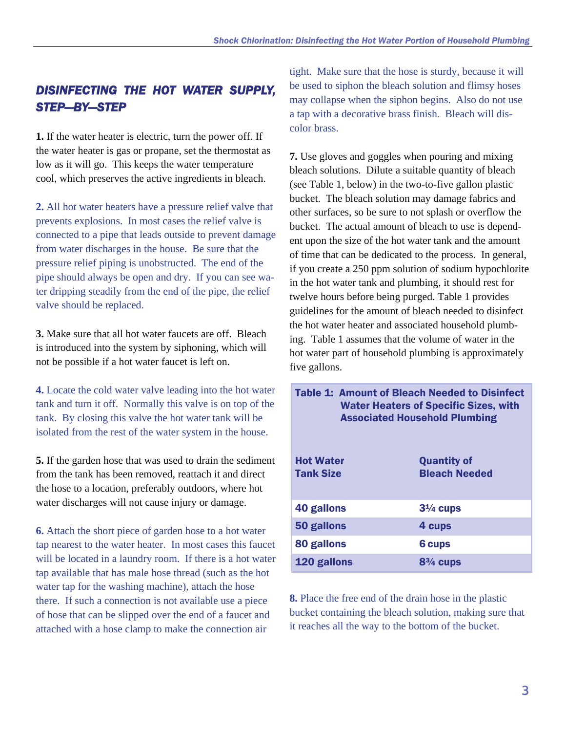### *DISINFECTING THE HOT WATER SUPPLY, STEP—BY—STEP*

**1.** If the water heater is electric, turn the power off. If the water heater is gas or propane, set the thermostat as low as it will go. This keeps the water temperature cool, which preserves the active ingredients in bleach.

**2.** All hot water heaters have a pressure relief valve that prevents explosions. In most cases the relief valve is connected to a pipe that leads outside to prevent damage from water discharges in the house. Be sure that the pressure relief piping is unobstructed. The end of the pipe should always be open and dry. If you can see water dripping steadily from the end of the pipe, the relief valve should be replaced.

**3.** Make sure that all hot water faucets are off. Bleach is introduced into the system by siphoning, which will not be possible if a hot water faucet is left on.

**4.** Locate the cold water valve leading into the hot water tank and turn it off. Normally this valve is on top of the tank. By closing this valve the hot water tank will be isolated from the rest of the water system in the house.

**5.** If the garden hose that was used to drain the sediment from the tank has been removed, reattach it and direct the hose to a location, preferably outdoors, where hot water discharges will not cause injury or damage.

**6.** Attach the short piece of garden hose to a hot water tap nearest to the water heater. In most cases this faucet will be located in a laundry room. If there is a hot water tap available that has male hose thread (such as the hot water tap for the washing machine), attach the hose there. If such a connection is not available use a piece of hose that can be slipped over the end of a faucet and attached with a hose clamp to make the connection air

tight. Make sure that the hose is sturdy, because it will be used to siphon the bleach solution and flimsy hoses may collapse when the siphon begins. Also do not use a tap with a decorative brass finish. Bleach will discolor brass.

**7.** Use gloves and goggles when pouring and mixing bleach solutions. Dilute a suitable quantity of bleach (see Table 1, below) in the two-to-five gallon plastic bucket. The bleach solution may damage fabrics and other surfaces, so be sure to not splash or overflow the bucket. The actual amount of bleach to use is dependent upon the size of the hot water tank and the amount of time that can be dedicated to the process. In general, if you create a 250 ppm solution of sodium hypochlorite in the hot water tank and plumbing, it should rest for twelve hours before being purged. Table 1 provides guidelines for the amount of bleach needed to disinfect the hot water heater and associated household plumbing. Table 1 assumes that the volume of water in the hot water part of household plumbing is approximately five gallons.

Table 1: Amount of Bleach Needed to Disinfect Water Heaters of Specific Sizes, with Associated Household Plumbing

| <b>Hot Water</b><br><b>Tank Size</b> | <b>Quantity of</b><br><b>Bleach Needed</b> |
|--------------------------------------|--------------------------------------------|
| <b>40 gallons</b>                    | $3\frac{1}{4}$ cups                        |
| 50 gallons                           | 4 cups                                     |
| 80 gallons                           | <b>6 cups</b>                              |
| 120 gallons                          | $8\frac{3}{4}$ cups                        |

**8.** Place the free end of the drain hose in the plastic bucket containing the bleach solution, making sure that it reaches all the way to the bottom of the bucket.